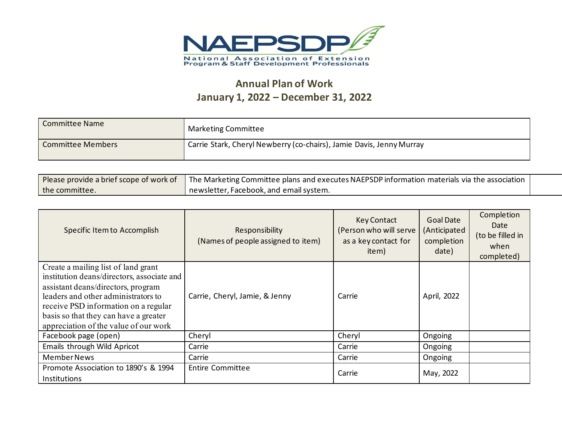

## **Annual Plan of Work January 1, 2022 – December 31, 2022**

| <b>Committee Name</b>    | Marketing Committee                                                  |
|--------------------------|----------------------------------------------------------------------|
| <b>Committee Members</b> | Carrie Stark, Cheryl Newberry (co-chairs), Jamie Davis, Jenny Murray |

| Please provide a brief scope of work of | The Marketing Committee plans and executes NAEPSDP information materials via the association |  |
|-----------------------------------------|----------------------------------------------------------------------------------------------|--|
| the committee.                          | newsletter. Facebook, and email system.                                                      |  |

| Specific Item to Accomplish                                                       | Responsibility<br>(Names of people assigned to item) | <b>Key Contact</b><br>(Person who will serve<br>as a key contact for<br>item) | <b>Goal Date</b><br>(Anticipated<br>completion<br>date) | Completion<br>Date<br>(to be filled in<br>when<br>completed) |
|-----------------------------------------------------------------------------------|------------------------------------------------------|-------------------------------------------------------------------------------|---------------------------------------------------------|--------------------------------------------------------------|
| Create a mailing list of land grant<br>institution deans/directors, associate and |                                                      |                                                                               |                                                         |                                                              |
| assistant deans/directors, program                                                |                                                      |                                                                               |                                                         |                                                              |
| leaders and other administrators to                                               | Carrie, Cheryl, Jamie, & Jenny                       | Carrie                                                                        | April, 2022                                             |                                                              |
| receive PSD information on a regular                                              |                                                      |                                                                               |                                                         |                                                              |
| basis so that they can have a greater<br>appreciation of the value of our work    |                                                      |                                                                               |                                                         |                                                              |
| Facebook page (open)                                                              | Cheryl                                               | Cheryl                                                                        | Ongoing                                                 |                                                              |
| Emails through Wild Apricot                                                       | Carrie                                               | Carrie                                                                        | Ongoing                                                 |                                                              |
| <b>Member News</b>                                                                | Carrie                                               | Carrie                                                                        | Ongoing                                                 |                                                              |
| Promote Association to 1890's & 1994                                              | <b>Entire Committee</b>                              | Carrie                                                                        | May, 2022                                               |                                                              |
| <b>Institutions</b>                                                               |                                                      |                                                                               |                                                         |                                                              |